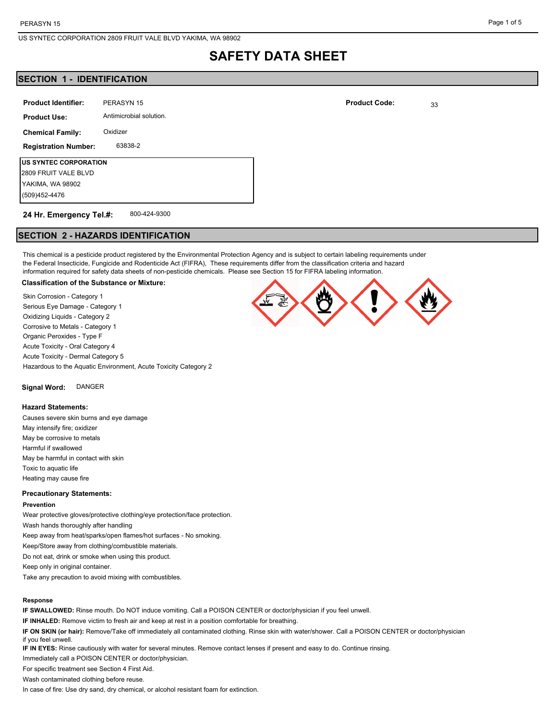# **SAFETY DATA SHEET**

# **SECTION 1 - IDENTIFICATION**

| <b>Product Identifier:</b>  | PERASYN 15              |  |
|-----------------------------|-------------------------|--|
| <b>Product Use:</b>         | Antimicrobial solution. |  |
| <b>Chemical Family:</b>     | Oxidizer                |  |
| <b>Registration Number:</b> | 63838-2                 |  |
| US SYNTEC CORPORATION       |                         |  |
| 2809 FRUIT VALE BLVD        |                         |  |
| YAKIMA, WA 98902            |                         |  |
| (509)452-4476               |                         |  |

#### 800-424-9300 **24 Hr. Emergency Tel.#:**

# **SECTION 2 - HAZARDS IDENTIFICATION**

This chemical is a pesticide product registered by the Environmental Protection Agency and is subject to certain labeling requirements under the Federal Insecticide, Fungicide and Rodenticide Act (FIFRA), These requirements differ from the classification criteria and hazard information required for safety data sheets of non-pesticide chemicals. Please see Section 15 for FIFRA labeling information.

### **Classification of the Substance or Mixture:**

Skin Corrosion - Category 1 Serious Eye Damage - Category 1 Oxidizing Liquids - Category 2 Corrosive to Metals - Category 1 Organic Peroxides - Type F Acute Toxicity - Oral Category 4 Acute Toxicity - Dermal Category 5 Hazardous to the Aquatic Environment, Acute Toxicity Category 2

**Signal Word:** DANGER

#### **Hazard Statements:**

Causes severe skin burns and eye damage May intensify fire; oxidizer May be corrosive to metals Harmful if swallowed May be harmful in contact with skin Toxic to aquatic life Heating may cause fire

### **Precautionary Statements:**

#### **Prevention**

Wear protective gloves/protective clothing/eye protection/face protection. Wash hands thoroughly after handling Keep away from heat/sparks/open flames/hot surfaces - No smoking. Keep/Store away from clothing/combustible materials.

Do not eat, drink or smoke when using this product.

Keep only in original container.

Take any precaution to avoid mixing with combustibles.

### **Response**

**IF SWALLOWED:** Rinse mouth. Do NOT induce vomiting. Call a POISON CENTER or doctor/physician if you feel unwell.

**IF INHALED:** Remove victim to fresh air and keep at rest in a position comfortable for breathing.

**IF ON SKIN (or hair):** Remove/Take off immediately all contaminated clothing. Rinse skin with water/shower. Call a POISON CENTER or doctor/physician if you feel unwell.

**IF IN EYES:** Rinse cautiously with water for several minutes. Remove contact lenses if present and easy to do. Continue rinsing.

Immediately call a POISON CENTER or doctor/physician.

For specific treatment see Section 4 First Aid.

Wash contaminated clothing before reuse.

In case of fire: Use dry sand, dry chemical, or alcohol resistant foam for extinction.

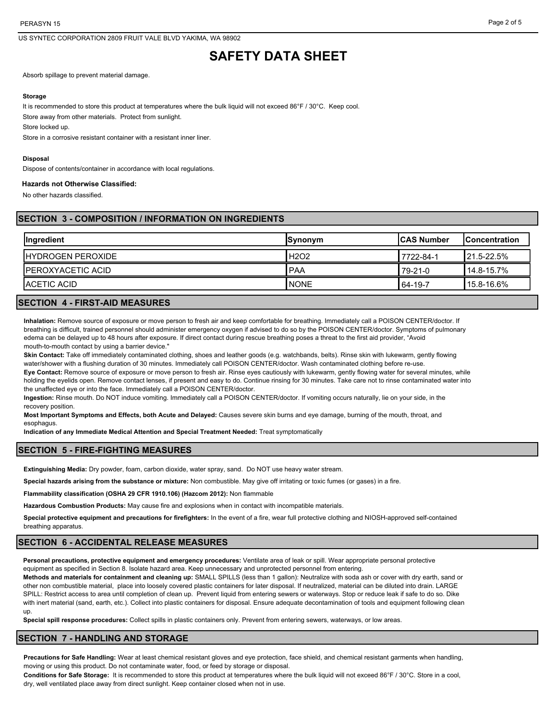US SYNTEC CORPORATION 2809 FRUIT VALE BLVD YAKIMA, WA 98902

# **SAFETY DATA SHEET**

Absorb spillage to prevent material damage.

### **Storage**

It is recommended to store this product at temperatures where the bulk liquid will not exceed 86°F / 30°C. Keep cool.

Store away from other materials. Protect from sunlight.

Store locked up.

Store in a corrosive resistant container with a resistant inner liner.

### **Disposal**

Dispose of contents/container in accordance with local regulations.

### **Hazards not Otherwise Classified:**

No other hazards classified.

# **SECTION 3 - COMPOSITION / INFORMATION ON INGREDIENTS**

| <b>Ingredient</b>         | <b>Synonym</b> | <b>ICAS Number</b> | <b>IConcentration</b> |
|---------------------------|----------------|--------------------|-----------------------|
| <b>IHYDROGEN PEROXIDE</b> | H2O2           | 7722-84-1          | 21.5-22.5%            |
| <b>IPEROXYACETIC ACID</b> | l PAA          | 79-21-0            | 14.8-15.7%            |
| <b>IACETIC ACID</b>       | <b>INONE</b>   | 64-19-7            | <b>15.8-16.6%</b>     |

# **SECTION 4 - FIRST-AID MEASURES**

**Inhalation:** Remove source of exposure or move person to fresh air and keep comfortable for breathing. Immediately call a POISON CENTER/doctor. If breathing is difficult, trained personnel should administer emergency oxygen if advised to do so by the POISON CENTER/doctor. Symptoms of pulmonary edema can be delayed up to 48 hours after exposure. If direct contact during rescue breathing poses a threat to the first aid provider, "Avoid mouth-to-mouth contact by using a barrier device."

**Skin Contact:** Take off immediately contaminated clothing, shoes and leather goods (e.g. watchbands, belts). Rinse skin with lukewarm, gently flowing water/shower with a flushing duration of 30 minutes. Immediately call POISON CENTER/doctor. Wash contaminated clothing before re-use.

**Eye Contact:** Remove source of exposure or move person to fresh air. Rinse eyes cautiously with lukewarm, gently flowing water for several minutes, while holding the eyelids open. Remove contact lenses, if present and easy to do. Continue rinsing for 30 minutes. Take care not to rinse contaminated water into the unaffected eye or into the face. Immediately call a POISON CENTER/doctor.

**Ingestion:** Rinse mouth. Do NOT induce vomiting. Immediately call a POISON CENTER/doctor. If vomiting occurs naturally, lie on your side, in the recovery position.

**Most Important Symptoms and Effects, both Acute and Delayed:** Causes severe skin burns and eye damage, burning of the mouth, throat, and esophagus.

**Indication of any Immediate Medical Attention and Special Treatment Needed:** Treat symptomatically

# **SECTION 5 - FIRE-FIGHTING MEASURES**

**Extinguishing Media:** Dry powder, foam, carbon dioxide, water spray, sand. Do NOT use heavy water stream.

**Special hazards arising from the substance or mixture:** Non combustible. May give off irritating or toxic fumes (or gases) in a fire.

**Flammability classification (OSHA 29 CFR 1910.106) (Hazcom 2012):** Non flammable

**Hazardous Combustion Products:** May cause fire and explosions when in contact with incompatible materials.

**Special protective equipment and precautions for firefighters:** In the event of a fire, wear full protective clothing and NIOSH-approved self-contained breathing apparatus.

# **SECTION 6 - ACCIDENTAL RELEASE MEASURES**

**Personal precautions, protective equipment and emergency procedures:** Ventilate area of leak or spill. Wear appropriate personal protective equipment as specified in Section 8. Isolate hazard area. Keep unnecessary and unprotected personnel from entering.

**Methods and materials for containment and cleaning up:** SMALL SPILLS (less than 1 gallon): Neutralize with soda ash or cover with dry earth, sand or other non combustible material, place into loosely covered plastic containers for later disposal. If neutralized, material can be diluted into drain. LARGE SPILL: Restrict access to area until completion of clean up. Prevent liquid from entering sewers or waterways. Stop or reduce leak if safe to do so. Dike with inert material (sand, earth, etc.). Collect into plastic containers for disposal. Ensure adequate decontamination of tools and equipment following clean up.

**Special spill response procedures:** Collect spills in plastic containers only. Prevent from entering sewers, waterways, or low areas.

# **SECTION 7 - HANDLING AND STORAGE**

**Precautions for Safe Handling:** Wear at least chemical resistant gloves and eye protection, face shield, and chemical resistant garments when handling, moving or using this product. Do not contaminate water, food, or feed by storage or disposal.

**Conditions for Safe Storage:** It is recommended to store this product at temperatures where the bulk liquid will not exceed 86°F / 30°C. Store in a cool, dry, well ventilated place away from direct sunlight. Keep container closed when not in use.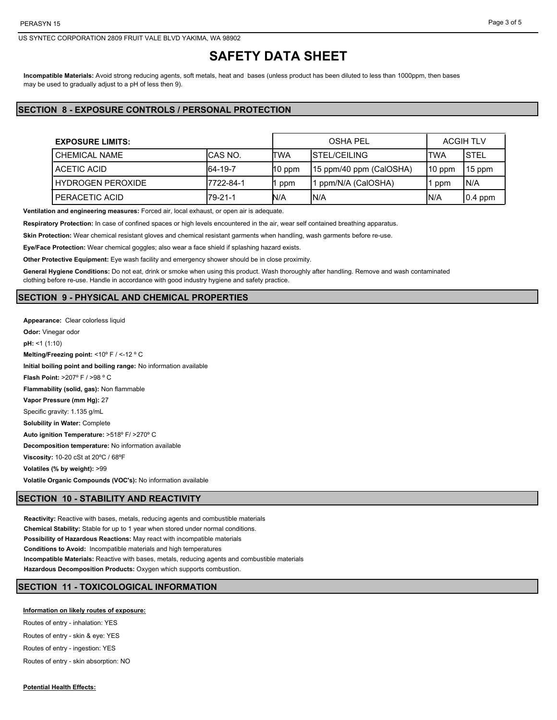US SYNTEC CORPORATION 2809 FRUIT VALE BLVD YAKIMA, WA 98902

# **SAFETY DATA SHEET**

**Incompatible Materials:** Avoid strong reducing agents, soft metals, heat and bases (unless product has been diluted to less than 1000ppm, then bases may be used to gradually adjust to a pH of less then 9).

# **SECTION 8 - EXPOSURE CONTROLS / PERSONAL PROTECTION**

| <b>EXPOSURE LIMITS:</b>  |            |          | <b>OSHA PEL</b>         | <b>ACGIH TLV</b> |             |
|--------------------------|------------|----------|-------------------------|------------------|-------------|
| <b>CHEMICAL NAME</b>     | ICAS NO.   | ITWA     | <b>ISTEL/CEILING</b>    | 'TWA             | <b>STEL</b> |
| ACETIC ACID              | 64-19-7    | $10$ ppm | 15 ppm/40 ppm (CalOSHA) | $110$ ppm        | 15 ppm      |
| <b>HYDROGEN PEROXIDE</b> | 17722-84-1 | ppm      | ppm/N/A (CalOSHA)       | ppm              | N/A         |
| PERACETIC ACID           | $I79-21-1$ | N/A      | IN/A                    | IN/A             | $ 0.4$ ppm  |

**Ventilation and engineering measures:** Forced air, local exhaust, or open air is adequate.

**Respiratory Protection:** In case of confined spaces or high levels encountered in the air, wear self contained breathing apparatus.

**Skin Protection:** Wear chemical resistant gloves and chemical resistant garments when handling, wash garments before re-use.

**Eye/Face Protection:** Wear chemical goggles; also wear a face shield if splashing hazard exists.

**Other Protective Equipment:** Eye wash facility and emergency shower should be in close proximity.

**General Hygiene Conditions:** Do not eat, drink or smoke when using this product. Wash thoroughly after handling. Remove and wash contaminated clothing before re-use. Handle in accordance with good industry hygiene and safety practice.

### **SECTION 9 - PHYSICAL AND CHEMICAL PROPERTIES**

**Appearance:** Clear colorless liquid **Odor:** Vinegar odor **pH:** <1 (1:10) **Melting/Freezing point:** <10º F / <-12 º C **Initial boiling point and boiling range:** No information available **Flash Point:** >207º F / >98 º C **Flammability (solid, gas):** Non flammable **Vapor Pressure (mm Hg):** 27 Specific gravity: 1.135 g/mL **Solubility in Water:** Complete **Auto ignition Temperature:** >518º F/ >270º C **Decomposition temperature:** No information available **Viscosity:** 10-20 cSt at 20ºC / 68ºF **Volatiles (% by weight):** >99 **Volatile Organic Compounds (VOC's):** No information available

### **SECTION 10 - STABILITY AND REACTIVITY**

**Reactivity:** Reactive with bases, metals, reducing agents and combustible materials **Chemical Stability:** Stable for up to 1 year when stored under normal conditions. **Possibility of Hazardous Reactions:** May react with incompatible materials **Conditions to Avoid:** Incompatible materials and high temperatures **Incompatible Materials:** Reactive with bases, metals, reducing agents and combustible materials **Hazardous Decomposition Products:** Oxygen which supports combustion.

# **SECTION 11 - TOXICOLOGICAL INFORMATION**

**Information on likely routes of exposure:**

Routes of entry - inhalation: YES

Routes of entry - skin & eye: YES Routes of entry - ingestion: YES

Routes of entry - skin absorption: NO

**Potential Health Effects:**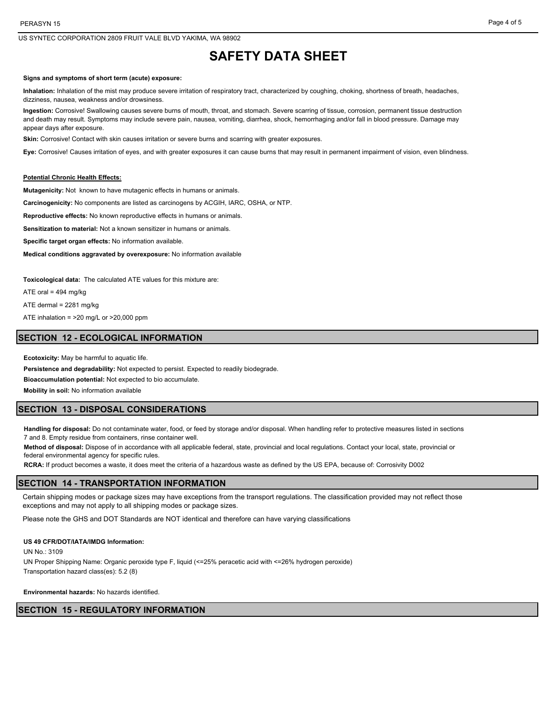US SYNTEC CORPORATION 2809 FRUIT VALE BLVD YAKIMA, WA 98902

# **SAFETY DATA SHEET**

#### **Signs and symptoms of short term (acute) exposure:**

**Inhalation:** Inhalation of the mist may produce severe irritation of respiratory tract, characterized by coughing, choking, shortness of breath, headaches, dizziness, nausea, weakness and/or drowsiness.

**Ingestion:** Corrosive! Swallowing causes severe burns of mouth, throat, and stomach. Severe scarring of tissue, corrosion, permanent tissue destruction and death may result. Symptoms may include severe pain, nausea, vomiting, diarrhea, shock, hemorrhaging and/or fall in blood pressure. Damage may appear days after exposure.

**Skin:** Corrosive! Contact with skin causes irritation or severe burns and scarring with greater exposures.

**Eye:** Corrosive! Causes irritation of eyes, and with greater exposures it can cause burns that may result in permanent impairment of vision, even blindness.

#### **Potential Chronic Health Effects:**

**Mutagenicity:** Not known to have mutagenic effects in humans or animals.

**Carcinogenicity:** No components are listed as carcinogens by ACGIH, IARC, OSHA, or NTP.

**Reproductive effects:** No known reproductive effects in humans or animals.

**Sensitization to material:** Not a known sensitizer in humans or animals.

**Specific target organ effects:** No information available.

**Medical conditions aggravated by overexposure:** No information available

**Toxicological data:** The calculated ATE values for this mixture are:

ATE oral =  $494$  mg/kg

ATE dermal = 2281 mg/kg

ATE inhalation = >20 mg/L or >20,000 ppm

### **SECTION 12 - ECOLOGICAL INFORMATION**

**Ecotoxicity:** May be harmful to aquatic life.

**Persistence and degradability:** Not expected to persist. Expected to readily biodegrade.

**Bioaccumulation potential:** Not expected to bio accumulate.

**Mobility in soil:** No information available

## **SECTION 13 - DISPOSAL CONSIDERATIONS**

**Handling for disposal:** Do not contaminate water, food, or feed by storage and/or disposal. When handling refer to protective measures listed in sections 7 and 8. Empty residue from containers, rinse container well.

**Method of disposal:** Dispose of in accordance with all applicable federal, state, provincial and local regulations. Contact your local, state, provincial or federal environmental agency for specific rules.

**RCRA:** If product becomes a waste, it does meet the criteria of a hazardous waste as defined by the US EPA, because of: Corrosivity D002

### **SECTION 14 - TRANSPORTATION INFORMATION**

Certain shipping modes or package sizes may have exceptions from the transport regulations. The classification provided may not reflect those exceptions and may not apply to all shipping modes or package sizes.

Please note the GHS and DOT Standards are NOT identical and therefore can have varying classifications

### **US 49 CFR/DOT/IATA/IMDG Information:**

 $UN No.3109$ 

UN Proper Shipping Name: Organic peroxide type F, liquid (<=25% peracetic acid with <=26% hydrogen peroxide) Transportation hazard class(es): 5.2 (8)

**Environmental hazards:** No hazards identified.

## **SECTION 15 - REGULATORY INFORMATION**